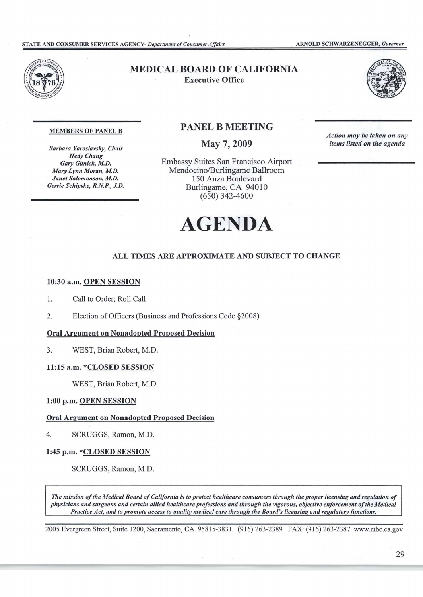

# MEDICAL BOARD OF CALIFORNIA Executive Office



*Action may be taken on any items listed on the agenda* 

#### MEMBERS OF PANEL B

*Barbara Yaroslavsky, Chair Hedy Chang*   $Gary Gitnick, M.D.$ *Mary Lynn Moran, M.D. Janet Salomonson, M.D. Gerrie Schipske, R.N.P., J.D.* 

## PANEL B MEETING

May 7, 2009

Embassy Suites San Francisco Airport Mendocino/Burlingame Ballroom 150 Anza Boulevard Burlingame, CA 94010 (650) 342-4600



## **ALL TIMES ARE APPROXIMATE AND SUBJECT TO CHANGE**

## **10:30 a.m. OPEN SESSION**

- I. Call to Order; Roll Call
- 2. Election of Officers (Business and Professions Code §2008)

## **Oral Argument on Nonadopted Proposed Decision**

3. WEST, Brian Robert, M.D.

#### **11:15 a.m. \*CLOSED SESSION**

WEST, Brian Robert, M.D.

#### **1:00 p.m. OPEN SESSION**

#### **Oral Argument on Nonadopted Proposed Decision**

4. SCRUGGS, Ramon, M.D.

#### **1:45 p.m. \*CLOSED SESSION**

SCRUGGS, Ramon, M.D.

*The mission ofthe Medical Board ofCalifornia is to protect healthcare consumers through the proper licensing and regulation of physicians and surgeons and certain allied healthcare professions and through the vigorous, objective enforcement ofthe Medical Practice Act, and to promote access to quality medical care through the Board's licensing and regulatory functions.* 

2005 Evergreen Street, Suite 1200, Sacramento, CA 95815-3831 (916) 263-2389 FAX: (916) 263-2387 <www.mbc.ca.gov>

29